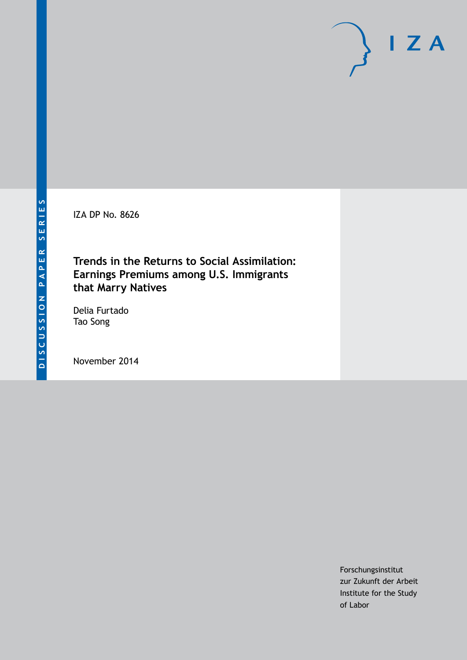IZA DP No. 8626

# **Trends in the Returns to Social Assimilation: Earnings Premiums among U.S. Immigrants that Marry Natives**

Delia Furtado Tao Song

November 2014

Forschungsinstitut zur Zukunft der Arbeit Institute for the Study of Labor

 $I Z A$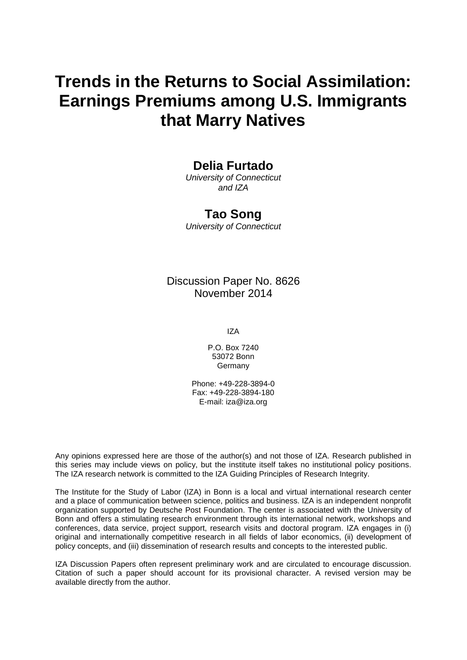# **Trends in the Returns to Social Assimilation: Earnings Premiums among U.S. Immigrants that Marry Natives**

### **Delia Furtado**

*University of Connecticut and IZA*

### **Tao Song**

*University of Connecticut*

### Discussion Paper No. 8626 November 2014

IZA

P.O. Box 7240 53072 Bonn Germany

Phone: +49-228-3894-0 Fax: +49-228-3894-180 E-mail: [iza@iza.org](mailto:iza@iza.org)

Any opinions expressed here are those of the author(s) and not those of IZA. Research published in this series may include views on policy, but the institute itself takes no institutional policy positions. The IZA research network is committed to the IZA Guiding Principles of Research Integrity.

The Institute for the Study of Labor (IZA) in Bonn is a local and virtual international research center and a place of communication between science, politics and business. IZA is an independent nonprofit organization supported by Deutsche Post Foundation. The center is associated with the University of Bonn and offers a stimulating research environment through its international network, workshops and conferences, data service, project support, research visits and doctoral program. IZA engages in (i) original and internationally competitive research in all fields of labor economics, (ii) development of policy concepts, and (iii) dissemination of research results and concepts to the interested public.

IZA Discussion Papers often represent preliminary work and are circulated to encourage discussion. Citation of such a paper should account for its provisional character. A revised version may be available directly from the author.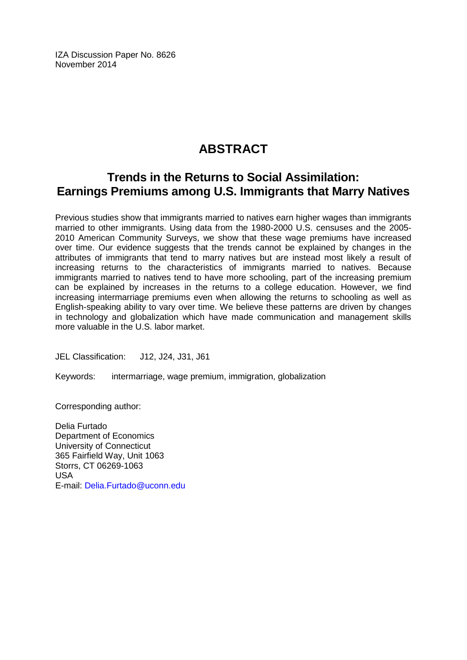IZA Discussion Paper No. 8626 November 2014

# **ABSTRACT**

# **Trends in the Returns to Social Assimilation: Earnings Premiums among U.S. Immigrants that Marry Natives**

Previous studies show that immigrants married to natives earn higher wages than immigrants married to other immigrants. Using data from the 1980-2000 U.S. censuses and the 2005- 2010 American Community Surveys, we show that these wage premiums have increased over time. Our evidence suggests that the trends cannot be explained by changes in the attributes of immigrants that tend to marry natives but are instead most likely a result of increasing returns to the characteristics of immigrants married to natives. Because immigrants married to natives tend to have more schooling, part of the increasing premium can be explained by increases in the returns to a college education. However, we find increasing intermarriage premiums even when allowing the returns to schooling as well as English-speaking ability to vary over time. We believe these patterns are driven by changes in technology and globalization which have made communication and management skills more valuable in the U.S. labor market.

JEL Classification: J12, J24, J31, J61

Keywords: intermarriage, wage premium, immigration, globalization

Corresponding author:

Delia Furtado Department of Economics University of Connecticut 365 Fairfield Way, Unit 1063 Storrs, CT 06269-1063 USA E-mail: [Delia.Furtado@uconn.edu](mailto:Delia.Furtado@uconn.edu)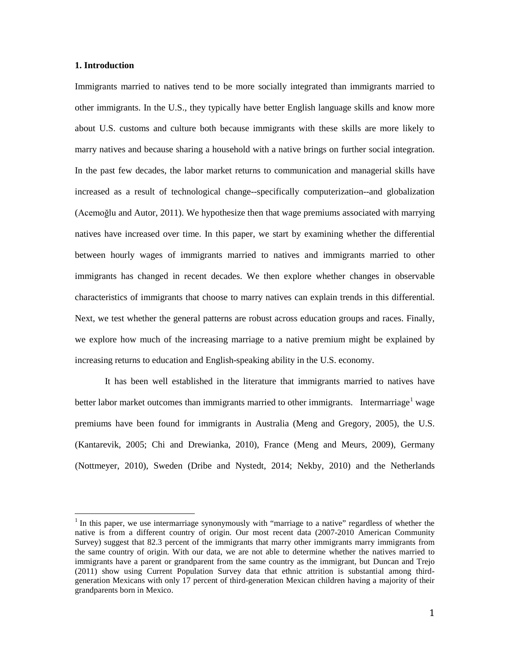#### **1. Introduction**

Immigrants married to natives tend to be more socially integrated than immigrants married to other immigrants. In the U.S., they typically have better English language skills and know more about U.S. customs and culture both because immigrants with these skills are more likely to marry natives and because sharing a household with a native brings on further social integration. In the past few decades, the labor market returns to communication and managerial skills have increased as a result of technological change--specifically computerization--and globalization (Acemoğlu and Autor, 2011). We hypothesize then that wage premiums associated with marrying natives have increased over time. In this paper, we start by examining whether the differential between hourly wages of immigrants married to natives and immigrants married to other immigrants has changed in recent decades. We then explore whether changes in observable characteristics of immigrants that choose to marry natives can explain trends in this differential. Next, we test whether the general patterns are robust across education groups and races. Finally, we explore how much of the increasing marriage to a native premium might be explained by increasing returns to education and English-speaking ability in the U.S. economy.

It has been well established in the literature that immigrants married to natives have better labor market outcomes than immigrants married to other immigrants. Intermarriage wage premiums have been found for immigrants in Australia (Meng and Gregory, 2005), the U.S. (Kantarevik, 2005; Chi and Drewianka, 2010), France (Meng and Meurs, 2009), Germany (Nottmeyer, 2010), Sweden (Dribe and Nystedt, 2014; Nekby, 2010) and the Netherlands

<span id="page-3-0"></span> $1$  In this paper, we use intermarriage synonymously with "marriage to a native" regardless of whether the native is from a different country of origin. Our most recent data (2007-2010 American Community Survey) suggest that 82.3 percent of the immigrants that marry other immigrants marry immigrants from the same country of origin. With our data, we are not able to determine whether the natives married to immigrants have a parent or grandparent from the same country as the immigrant, but Duncan and Trejo (2011) show using Current Population Survey data that ethnic attrition is substantial among thirdgeneration Mexicans with only 17 percent of third-generation Mexican children having a majority of their grandparents born in Mexico.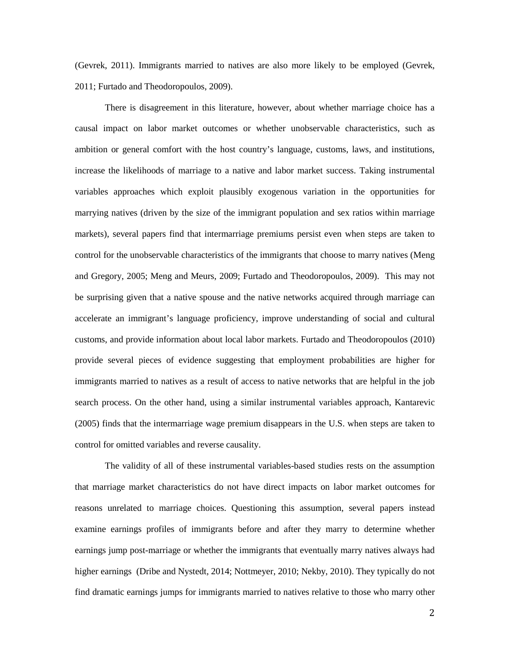(Gevrek, 2011). Immigrants married to natives are also more likely to be employed (Gevrek, 2011; Furtado and Theodoropoulos, 2009).

There is disagreement in this literature, however, about whether marriage choice has a causal impact on labor market outcomes or whether unobservable characteristics, such as ambition or general comfort with the host country's language, customs, laws, and institutions, increase the likelihoods of marriage to a native and labor market success. Taking instrumental variables approaches which exploit plausibly exogenous variation in the opportunities for marrying natives (driven by the size of the immigrant population and sex ratios within marriage markets), several papers find that intermarriage premiums persist even when steps are taken to control for the unobservable characteristics of the immigrants that choose to marry natives (Meng and Gregory, 2005; Meng and Meurs, 2009; Furtado and Theodoropoulos, 2009). This may not be surprising given that a native spouse and the native networks acquired through marriage can accelerate an immigrant's language proficiency, improve understanding of social and cultural customs, and provide information about local labor markets. Furtado and Theodoropoulos (2010) provide several pieces of evidence suggesting that employment probabilities are higher for immigrants married to natives as a result of access to native networks that are helpful in the job search process. On the other hand, using a similar instrumental variables approach, Kantarevic (2005) finds that the intermarriage wage premium disappears in the U.S. when steps are taken to control for omitted variables and reverse causality.

The validity of all of these instrumental variables-based studies rests on the assumption that marriage market characteristics do not have direct impacts on labor market outcomes for reasons unrelated to marriage choices. Questioning this assumption, several papers instead examine earnings profiles of immigrants before and after they marry to determine whether earnings jump post-marriage or whether the immigrants that eventually marry natives always had higher earnings (Dribe and Nystedt, 2014; Nottmeyer, 2010; Nekby, 2010). They typically do not find dramatic earnings jumps for immigrants married to natives relative to those who marry other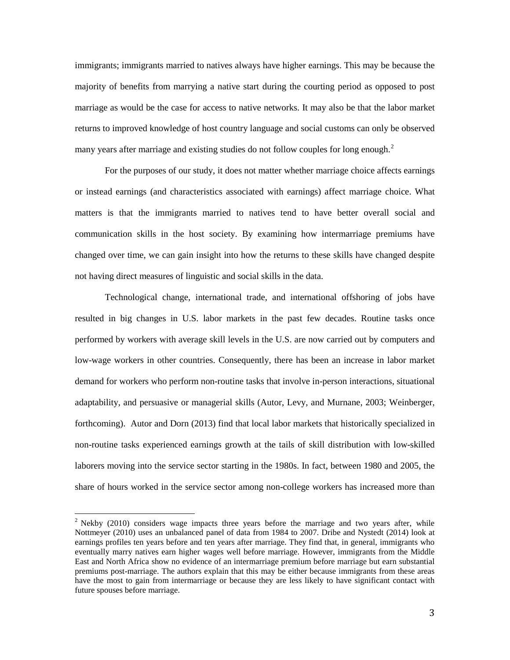immigrants; immigrants married to natives always have higher earnings. This may be because the majority of benefits from marrying a native start during the courting period as opposed to post marriage as would be the case for access to native networks. It may also be that the labor market returns to improved knowledge of host country language and social customs can only be observed many years after marriage and existing studies do not follow couples for long enough.<sup>[2](#page-3-0)</sup>

For the purposes of our study, it does not matter whether marriage choice affects earnings or instead earnings (and characteristics associated with earnings) affect marriage choice. What matters is that the immigrants married to natives tend to have better overall social and communication skills in the host society. By examining how intermarriage premiums have changed over time, we can gain insight into how the returns to these skills have changed despite not having direct measures of linguistic and social skills in the data.

Technological change, international trade, and international offshoring of jobs have resulted in big changes in U.S. labor markets in the past few decades. Routine tasks once performed by workers with average skill levels in the U.S. are now carried out by computers and low-wage workers in other countries. Consequently, there has been an increase in labor market demand for workers who perform non-routine tasks that involve in-person interactions, situational adaptability, and persuasive or managerial skills (Autor, Levy, and Murnane, 2003; Weinberger, forthcoming). Autor and Dorn (2013) find that local labor markets that historically specialized in non-routine tasks experienced earnings growth at the tails of skill distribution with low-skilled laborers moving into the service sector starting in the 1980s. In fact, between 1980 and 2005, the share of hours worked in the service sector among non-college workers has increased more than

<span id="page-5-0"></span> $2$  Nekby (2010) considers wage impacts three years before the marriage and two years after, while Nottmeyer (2010) uses an unbalanced panel of data from 1984 to 2007. Dribe and Nystedt (2014) look at earnings profiles ten years before and ten years after marriage. They find that, in general, immigrants who eventually marry natives earn higher wages well before marriage. However, immigrants from the Middle East and North Africa show no evidence of an intermarriage premium before marriage but earn substantial premiums post-marriage. The authors explain that this may be either because immigrants from these areas have the most to gain from intermarriage or because they are less likely to have significant contact with future spouses before marriage.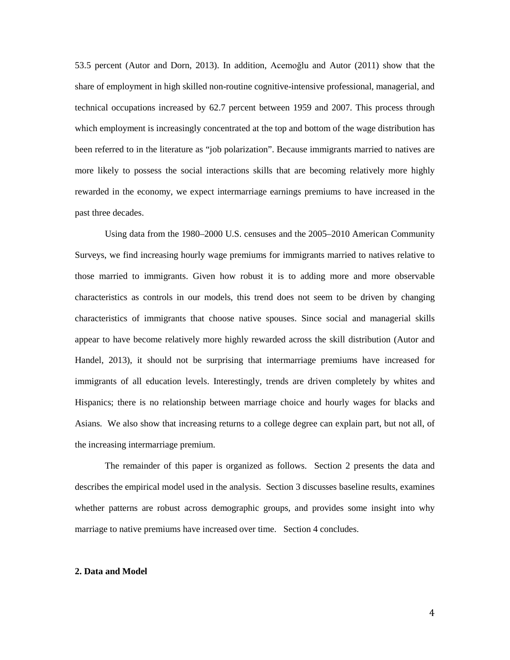53.5 percent (Autor and Dorn, 2013). In addition, Acemoğlu and Autor (2011) show that the share of employment in high skilled non-routine cognitive-intensive professional, managerial, and technical occupations increased by 62.7 percent between 1959 and 2007. This process through which employment is increasingly concentrated at the top and bottom of the wage distribution has been referred to in the literature as "job polarization". Because immigrants married to natives are more likely to possess the social interactions skills that are becoming relatively more highly rewarded in the economy, we expect intermarriage earnings premiums to have increased in the past three decades.

Using data from the 1980–2000 U.S. censuses and the 2005–2010 American Community Surveys, we find increasing hourly wage premiums for immigrants married to natives relative to those married to immigrants. Given how robust it is to adding more and more observable characteristics as controls in our models, this trend does not seem to be driven by changing characteristics of immigrants that choose native spouses. Since social and managerial skills appear to have become relatively more highly rewarded across the skill distribution (Autor and Handel, 2013), it should not be surprising that intermarriage premiums have increased for immigrants of all education levels. Interestingly, trends are driven completely by whites and Hispanics; there is no relationship between marriage choice and hourly wages for blacks and Asians. We also show that increasing returns to a college degree can explain part, but not all, of the increasing intermarriage premium.

The remainder of this paper is organized as follows. Section 2 presents the data and describes the empirical model used in the analysis. Section 3 discusses baseline results, examines whether patterns are robust across demographic groups, and provides some insight into why marriage to native premiums have increased over time. Section 4 concludes.

#### **2. Data and Model**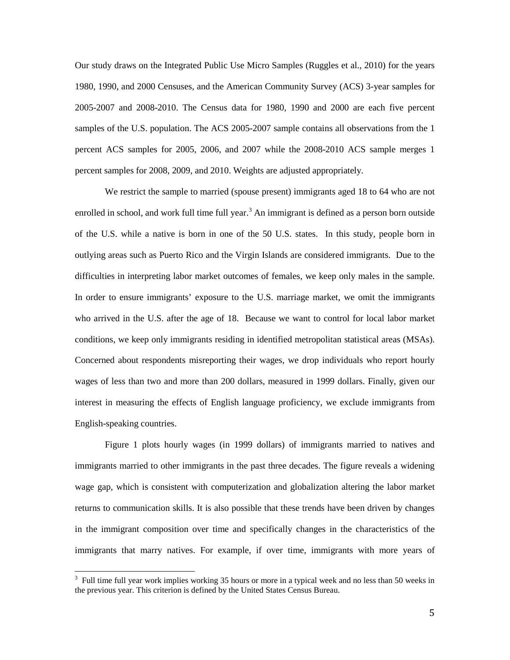Our study draws on the Integrated Public Use Micro Samples (Ruggles et al., 2010) for the years 1980, 1990, and 2000 Censuses, and the American Community Survey (ACS) 3-year samples for 2005-2007 and 2008-2010. The Census data for 1980, 1990 and 2000 are each five percent samples of the U.S. population. The ACS 2005-2007 sample contains all observations from the 1 percent ACS samples for 2005, 2006, and 2007 while the 2008-2010 ACS sample merges 1 percent samples for 2008, 2009, and 2010. Weights are adjusted appropriately.

We restrict the sample to married (spouse present) immigrants aged 18 to 64 who are not enrolled in school, and work full time full year.<sup>[3](#page-5-0)</sup> An immigrant is defined as a person born outside of the U.S. while a native is born in one of the 50 U.S. states. In this study, people born in outlying areas such as Puerto Rico and the Virgin Islands are considered immigrants. Due to the difficulties in interpreting labor market outcomes of females, we keep only males in the sample. In order to ensure immigrants' exposure to the U.S. marriage market, we omit the immigrants who arrived in the U.S. after the age of 18. Because we want to control for local labor market conditions, we keep only immigrants residing in identified metropolitan statistical areas (MSAs). Concerned about respondents misreporting their wages, we drop individuals who report hourly wages of less than two and more than 200 dollars, measured in 1999 dollars. Finally, given our interest in measuring the effects of English language proficiency, we exclude immigrants from English-speaking countries.

Figure 1 plots hourly wages (in 1999 dollars) of immigrants married to natives and immigrants married to other immigrants in the past three decades. The figure reveals a widening wage gap, which is consistent with computerization and globalization altering the labor market returns to communication skills. It is also possible that these trends have been driven by changes in the immigrant composition over time and specifically changes in the characteristics of the immigrants that marry natives. For example, if over time, immigrants with more years of

<span id="page-7-0"></span><sup>&</sup>lt;sup>3</sup> Full time full year work implies working 35 hours or more in a typical week and no less than 50 weeks in the previous year. This criterion is defined by the United States Census Bureau.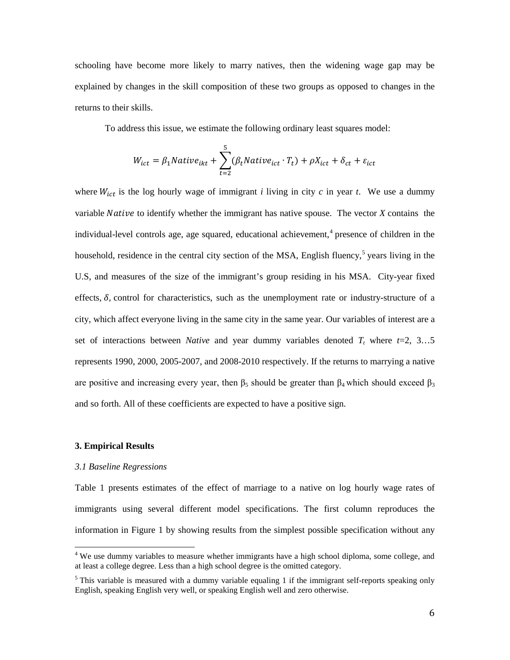schooling have become more likely to marry natives, then the widening wage gap may be explained by changes in the skill composition of these two groups as opposed to changes in the returns to their skills.

To address this issue, we estimate the following ordinary least squares model:

$$
W_{ict} = \beta_1 Native_{ikt} + \sum_{t=2}^{5} (\beta_t Native_{ict} \cdot T_t) + \rho X_{ict} + \delta_{ct} + \varepsilon_{ict}
$$

where  $W_{ict}$  is the log hourly wage of immigrant *i* living in city *c* in year *t*. We use a dummy variable *Native* to identify whether the immigrant has native spouse. The vector *X* contains the individual-level controls age, age squared, educational achievement, [4](#page-7-0) presence of children in the household, residence in the central city section of the MSA, English fluency,<sup>[5](#page-8-0)</sup> years living in the U.S, and measures of the size of the immigrant's group residing in his MSA. City-year fixed effects,  $\delta$ , control for characteristics, such as the unemployment rate or industry-structure of a city, which affect everyone living in the same city in the same year. Our variables of interest are a set of interactions between *Native* and year dummy variables denoted *T*, where  $t=2, 3, \ldots, 5$ represents 1990, 2000, 2005-2007, and 2008-2010 respectively. If the returns to marrying a native are positive and increasing every year, then  $\beta_5$  should be greater than  $\beta_4$  which should exceed  $\beta_3$ and so forth. All of these coefficients are expected to have a positive sign.

#### **3. Empirical Results**

#### *3.1 Baseline Regressions*

Table 1 presents estimates of the effect of marriage to a native on log hourly wage rates of immigrants using several different model specifications. The first column reproduces the information in Figure 1 by showing results from the simplest possible specification without any

<sup>&</sup>lt;sup>4</sup> We use dummy variables to measure whether immigrants have a high school diploma, some college, and at least a college degree. Less than a high school degree is the omitted category.

<span id="page-8-1"></span><span id="page-8-0"></span><sup>&</sup>lt;sup>5</sup> This variable is measured with a dummy variable equaling 1 if the immigrant self-reports speaking only English, speaking English very well, or speaking English well and zero otherwise.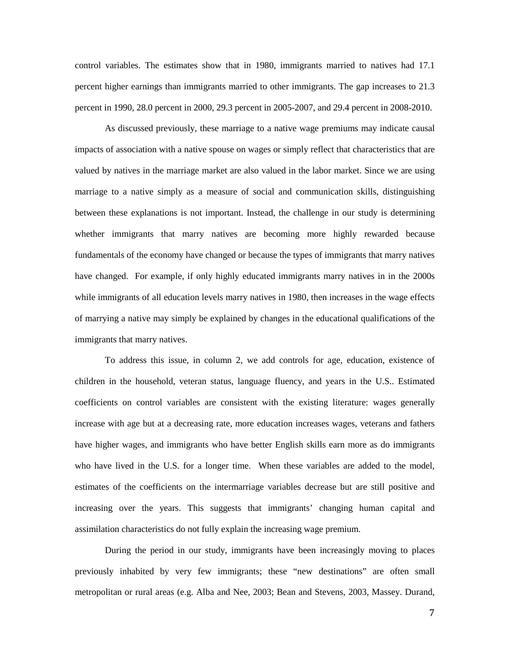control variables. The estimates show that in 1980, immigrants married to natives had 17.1 percent higher earnings than immigrants married to other immigrants. The gap increases to 21.3 percent in 1990, 28.0 percent in 2000, 29.3 percent in 2005-2007, and 29.4 percent in 2008-2010.

As discussed previously, these marriage to a native wage premiums may indicate causal impacts of association with a native spouse on wages or simply reflect that characteristics that are valued by natives in the marriage market are also valued in the labor market. Since we are using marriage to a native simply as a measure of social and communication skills, distinguishing between these explanations is not important. Instead, the challenge in our study is determining whether immigrants that marry natives are becoming more highly rewarded because fundamentals of the economy have changed or because the types of immigrants that marry natives have changed. For example, if only highly educated immigrants marry natives in in the 2000s while immigrants of all education levels marry natives in 1980, then increases in the wage effects of marrying a native may simply be explained by changes in the educational qualifications of the immigrants that marry natives.

To address this issue, in column 2, we add controls for age, education, existence of children in the household, veteran status, language fluency, and years in the U.S.. Estimated coefficients on control variables are consistent with the existing literature: wages generally increase with age but at a decreasing rate, more education increases wages, veterans and fathers have higher wages, and immigrants who have better English skills earn more as do immigrants who have lived in the U.S. for a longer time. When these variables are added to the model, estimates of the coefficients on the intermarriage variables decrease but are still positive and increasing over the years. This suggests that immigrants' changing human capital and assimilation characteristics do not fully explain the increasing wage premium.

During the period in our study, immigrants have been increasingly moving to places previously inhabited by very few immigrants; these "new destinations" are often small metropolitan or rural areas (e.g. Alba and Nee, 2003; Bean and Stevens, 2003, Massey. Durand,

7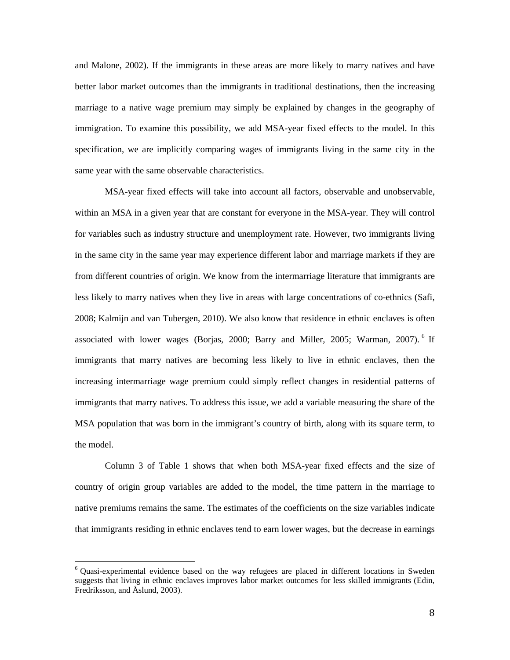and Malone, 2002). If the immigrants in these areas are more likely to marry natives and have better labor market outcomes than the immigrants in traditional destinations, then the increasing marriage to a native wage premium may simply be explained by changes in the geography of immigration. To examine this possibility, we add MSA-year fixed effects to the model. In this specification, we are implicitly comparing wages of immigrants living in the same city in the same year with the same observable characteristics.

MSA-year fixed effects will take into account all factors, observable and unobservable, within an MSA in a given year that are constant for everyone in the MSA-year. They will control for variables such as industry structure and unemployment rate. However, two immigrants living in the same city in the same year may experience different labor and marriage markets if they are from different countries of origin. We know from the intermarriage literature that immigrants are less likely to marry natives when they live in areas with large concentrations of co-ethnics (Safi, 2008; Kalmijn and van Tubergen, 2010). We also know that residence in ethnic enclaves is often associated with lower wages (Borjas, 2000; Barry and Miller, 2005; Warman, 2007).<sup>[6](#page-8-1)</sup> If immigrants that marry natives are becoming less likely to live in ethnic enclaves, then the increasing intermarriage wage premium could simply reflect changes in residential patterns of immigrants that marry natives. To address this issue, we add a variable measuring the share of the MSA population that was born in the immigrant's country of birth, along with its square term, to the model.

Column 3 of Table 1 shows that when both MSA-year fixed effects and the size of country of origin group variables are added to the model, the time pattern in the marriage to native premiums remains the same. The estimates of the coefficients on the size variables indicate that immigrants residing in ethnic enclaves tend to earn lower wages, but the decrease in earnings

<span id="page-10-0"></span><sup>6</sup> Quasi-experimental evidence based on the way refugees are placed in different locations in Sweden suggests that living in ethnic enclaves improves labor market outcomes for less skilled immigrants (Edin, Fredriksson, and Åslund, 2003).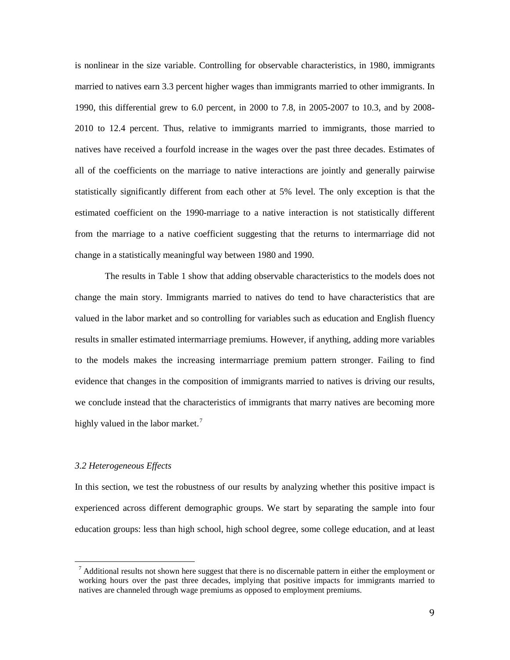is nonlinear in the size variable. Controlling for observable characteristics, in 1980, immigrants married to natives earn 3.3 percent higher wages than immigrants married to other immigrants. In 1990, this differential grew to 6.0 percent, in 2000 to 7.8, in 2005-2007 to 10.3, and by 2008- 2010 to 12.4 percent. Thus, relative to immigrants married to immigrants, those married to natives have received a fourfold increase in the wages over the past three decades. Estimates of all of the coefficients on the marriage to native interactions are jointly and generally pairwise statistically significantly different from each other at 5% level. The only exception is that the estimated coefficient on the 1990-marriage to a native interaction is not statistically different from the marriage to a native coefficient suggesting that the returns to intermarriage did not change in a statistically meaningful way between 1980 and 1990.

The results in Table 1 show that adding observable characteristics to the models does not change the main story. Immigrants married to natives do tend to have characteristics that are valued in the labor market and so controlling for variables such as education and English fluency results in smaller estimated intermarriage premiums. However, if anything, adding more variables to the models makes the increasing intermarriage premium pattern stronger. Failing to find evidence that changes in the composition of immigrants married to natives is driving our results, we conclude instead that the characteristics of immigrants that marry natives are becoming more highly valued in the labor market.<sup>[7](#page-10-0)</sup>

#### *3.2 Heterogeneous Effects*

In this section, we test the robustness of our results by analyzing whether this positive impact is experienced across different demographic groups. We start by separating the sample into four education groups: less than high school, high school degree, some college education, and at least

 $<sup>7</sup>$  Additional results not shown here suggest that there is no discernable pattern in either the employment or</sup> working hours over the past three decades, implying that positive impacts for immigrants married to natives are channeled through wage premiums as opposed to employment premiums.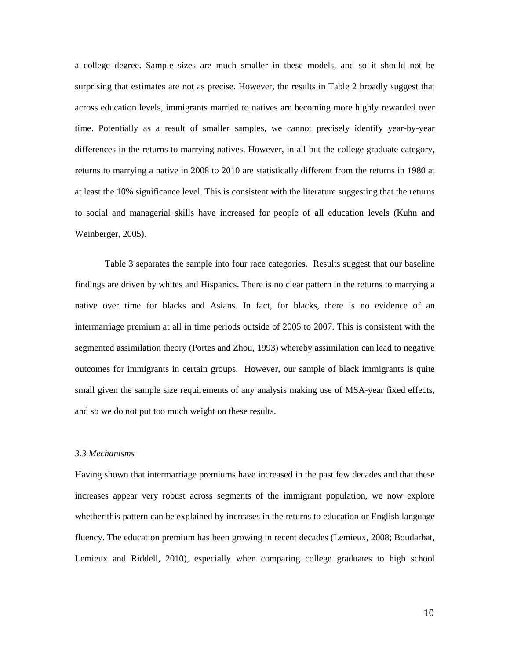a college degree. Sample sizes are much smaller in these models, and so it should not be surprising that estimates are not as precise. However, the results in Table 2 broadly suggest that across education levels, immigrants married to natives are becoming more highly rewarded over time. Potentially as a result of smaller samples, we cannot precisely identify year-by-year differences in the returns to marrying natives. However, in all but the college graduate category, returns to marrying a native in 2008 to 2010 are statistically different from the returns in 1980 at at least the 10% significance level. This is consistent with the literature suggesting that the returns to social and managerial skills have increased for people of all education levels (Kuhn and Weinberger, 2005).

Table 3 separates the sample into four race categories. Results suggest that our baseline findings are driven by whites and Hispanics. There is no clear pattern in the returns to marrying a native over time for blacks and Asians. In fact, for blacks, there is no evidence of an intermarriage premium at all in time periods outside of 2005 to 2007. This is consistent with the segmented assimilation theory (Portes and Zhou, 1993) whereby assimilation can lead to negative outcomes for immigrants in certain groups. However, our sample of black immigrants is quite small given the sample size requirements of any analysis making use of MSA-year fixed effects, and so we do not put too much weight on these results.

#### *3.3 Mechanisms*

Having shown that intermarriage premiums have increased in the past few decades and that these increases appear very robust across segments of the immigrant population, we now explore whether this pattern can be explained by increases in the returns to education or English language fluency. The education premium has been growing in recent decades (Lemieux, 2008; Boudarbat, Lemieux and Riddell, 2010), especially when comparing college graduates to high school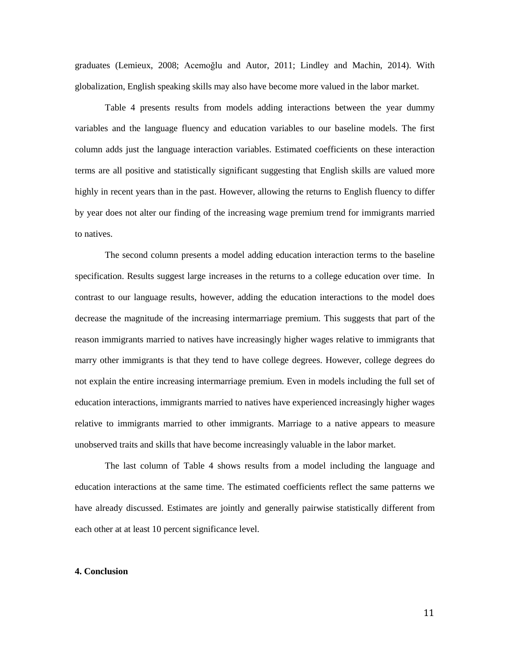graduates (Lemieux, 2008; Acemoğlu and Autor, 2011; Lindley and Machin, 2014). With globalization, English speaking skills may also have become more valued in the labor market.

Table 4 presents results from models adding interactions between the year dummy variables and the language fluency and education variables to our baseline models. The first column adds just the language interaction variables. Estimated coefficients on these interaction terms are all positive and statistically significant suggesting that English skills are valued more highly in recent years than in the past. However, allowing the returns to English fluency to differ by year does not alter our finding of the increasing wage premium trend for immigrants married to natives.

The second column presents a model adding education interaction terms to the baseline specification. Results suggest large increases in the returns to a college education over time. In contrast to our language results, however, adding the education interactions to the model does decrease the magnitude of the increasing intermarriage premium. This suggests that part of the reason immigrants married to natives have increasingly higher wages relative to immigrants that marry other immigrants is that they tend to have college degrees. However, college degrees do not explain the entire increasing intermarriage premium. Even in models including the full set of education interactions, immigrants married to natives have experienced increasingly higher wages relative to immigrants married to other immigrants. Marriage to a native appears to measure unobserved traits and skills that have become increasingly valuable in the labor market.

The last column of Table 4 shows results from a model including the language and education interactions at the same time. The estimated coefficients reflect the same patterns we have already discussed. Estimates are jointly and generally pairwise statistically different from each other at at least 10 percent significance level.

#### **4. Conclusion**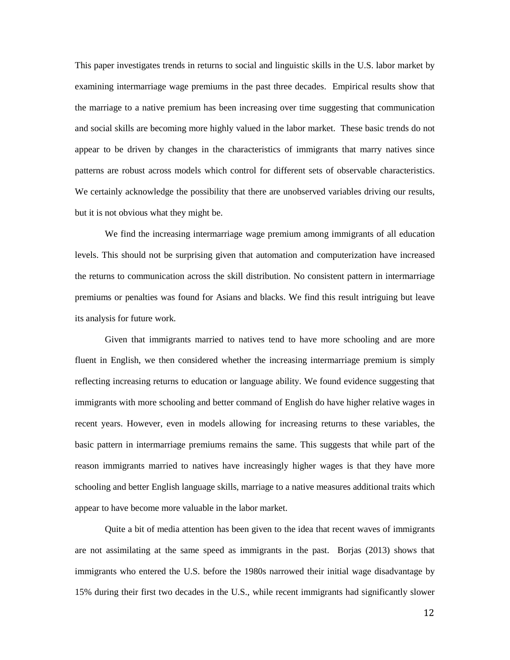This paper investigates trends in returns to social and linguistic skills in the U.S. labor market by examining intermarriage wage premiums in the past three decades. Empirical results show that the marriage to a native premium has been increasing over time suggesting that communication and social skills are becoming more highly valued in the labor market. These basic trends do not appear to be driven by changes in the characteristics of immigrants that marry natives since patterns are robust across models which control for different sets of observable characteristics. We certainly acknowledge the possibility that there are unobserved variables driving our results, but it is not obvious what they might be.

We find the increasing intermarriage wage premium among immigrants of all education levels. This should not be surprising given that automation and computerization have increased the returns to communication across the skill distribution. No consistent pattern in intermarriage premiums or penalties was found for Asians and blacks. We find this result intriguing but leave its analysis for future work.

Given that immigrants married to natives tend to have more schooling and are more fluent in English, we then considered whether the increasing intermarriage premium is simply reflecting increasing returns to education or language ability. We found evidence suggesting that immigrants with more schooling and better command of English do have higher relative wages in recent years. However, even in models allowing for increasing returns to these variables, the basic pattern in intermarriage premiums remains the same. This suggests that while part of the reason immigrants married to natives have increasingly higher wages is that they have more schooling and better English language skills, marriage to a native measures additional traits which appear to have become more valuable in the labor market.

Quite a bit of media attention has been given to the idea that recent waves of immigrants are not assimilating at the same speed as immigrants in the past. Borjas (2013) shows that immigrants who entered the U.S. before the 1980s narrowed their initial wage disadvantage by 15% during their first two decades in the U.S., while recent immigrants had significantly slower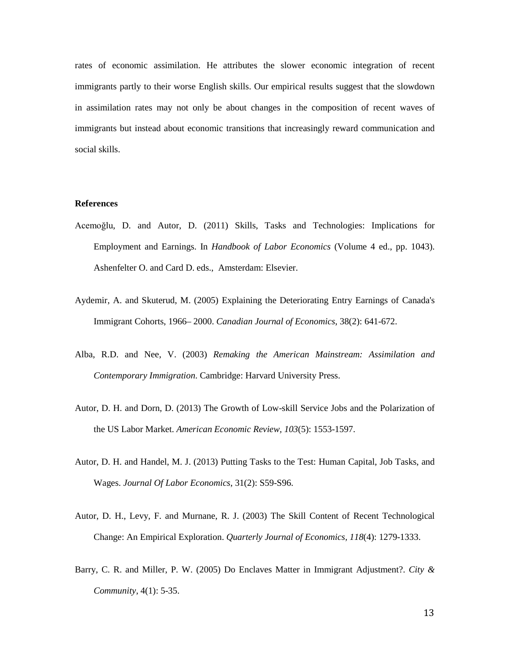rates of economic assimilation. He attributes the slower economic integration of recent immigrants partly to their worse English skills. Our empirical results suggest that the slowdown in assimilation rates may not only be about changes in the composition of recent waves of immigrants but instead about economic transitions that increasingly reward communication and social skills.

#### **References**

- Acemoğlu, D. and Autor, D. (2011) Skills, Tasks and Technologies: Implications for Employment and Earnings. In *Handbook of Labor Economics* (Volume 4 ed., pp. 1043). Ashenfelter O. and Card D. eds., Amsterdam: Elsevier.
- Aydemir, A. and Skuterud, M. (2005) Explaining the Deteriorating Entry Earnings of Canada's Immigrant Cohorts, 1966– 2000. *Canadian Journal of Economics*, 38(2): 641-672.
- Alba, R.D. and Nee, V. (2003) *Remaking the American Mainstream: Assimilation and Contemporary Immigration*. Cambridge: Harvard University Press.
- Autor, D. H. and Dorn, D. (2013) The Growth of Low-skill Service Jobs and the Polarization of the US Labor Market. *American Economic Review, 103*(5): 1553-1597.
- Autor, D. H. and Handel, M. J. (2013) Putting Tasks to the Test: Human Capital, Job Tasks, and Wages. *Journal Of Labor Economics*, 31(2): S59-S96.
- Autor, D. H., Levy, F. and Murnane, R. J. (2003) The Skill Content of Recent Technological Change: An Empirical Exploration. *Quarterly Journal of Economics, 118*(4): 1279-1333.
- Barry, C. R. and Miller, P. W. (2005) Do Enclaves Matter in Immigrant Adjustment?. *City & Community*, 4(1): 5-35.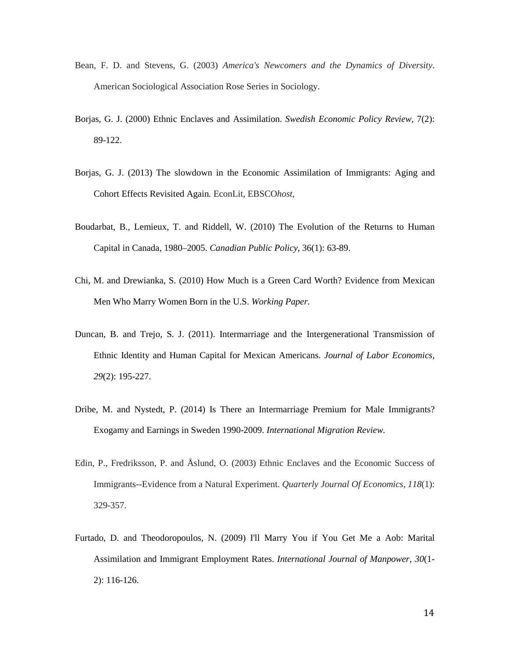- Bean, F. D. and Stevens, G. (2003) *America's Newcomers and the Dynamics of Diversity*. American Sociological Association Rose Series in Sociology.
- Borjas, G. J. (2000) Ethnic Enclaves and Assimilation. *Swedish Economic Policy Review*, 7(2): 89-122.
- Borjas, G. J. (2013) The slowdown in the Economic Assimilation of Immigrants: Aging and Cohort Effects Revisited Again*.* EconLit, EBSCO*host*,
- Boudarbat, B., Lemieux, T. and Riddell, W. (2010) The Evolution of the Returns to Human Capital in Canada, 1980–2005. *Canadian Public Policy*, 36(1): 63-89.
- Chi, M. and Drewianka, S. (2010) How Much is a Green Card Worth? Evidence from Mexican Men Who Marry Women Born in the U.S. *Working Paper.*
- Duncan, B. and Trejo, S. J. (2011). Intermarriage and the Intergenerational Transmission of Ethnic Identity and Human Capital for Mexican Americans. *Journal of Labor Economics, 29*(2): 195-227.
- Dribe, M. and Nystedt, P. (2014) Is There an Intermarriage Premium for Male Immigrants? Exogamy and Earnings in Sweden 1990-2009. *International Migration Review.*
- Edin, P., Fredriksson, P. and Åslund, O. (2003) Ethnic Enclaves and the Economic Success of Immigrants--Evidence from a Natural Experiment. *Quarterly Journal Of Economics*, *118*(1): 329-357.
- Furtado, D. and Theodoropoulos, N. (2009) I'll Marry You if You Get Me a Aob: Marital Assimilation and Immigrant Employment Rates. *International Journal of Manpower, 30*(1- 2): 116-126.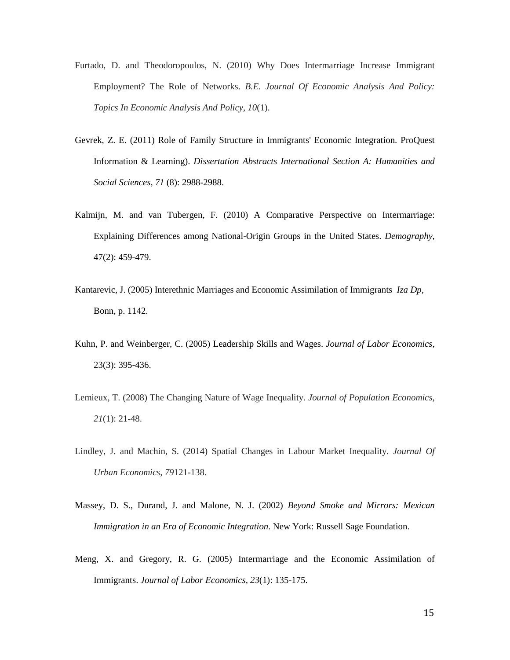- Furtado, D. and Theodoropoulos, N. (2010) Why Does Intermarriage Increase Immigrant Employment? The Role of Networks. *B.E. Journal Of Economic Analysis And Policy: Topics In Economic Analysis And Policy*, *10*(1).
- Gevrek, Z. E. (2011) Role of Family Structure in Immigrants' Economic Integration. ProQuest Information & Learning). *Dissertation Abstracts International Section A: Humanities and Social Sciences, 71* (8): 2988-2988.
- Kalmijn, M. and van Tubergen, F. (2010) A Comparative Perspective on Intermarriage: Explaining Differences among National-Origin Groups in the United States. *Demography*, 47(2): 459-479.
- Kantarevic, J. (2005) Interethnic Marriages and Economic Assimilation of Immigrants *Iza Dp*, Bonn, p. 1142.
- Kuhn, P. and Weinberger, C. (2005) Leadership Skills and Wages. *Journal of Labor Economics*, 23(3): 395-436.
- Lemieux, T. (2008) The Changing Nature of Wage Inequality. *Journal of Population Economics*, *21*(1): 21-48.
- Lindley, J. and Machin, S. (2014) Spatial Changes in Labour Market Inequality. *Journal Of Urban Economics*, *79*121-138.
- Massey, D. S., Durand, J. and Malone, N. J. (2002) *Beyond Smoke and Mirrors: Mexican Immigration in an Era of Economic Integration*. New York: Russell Sage Foundation.
- Meng, X. and Gregory, R. G. (2005) Intermarriage and the Economic Assimilation of Immigrants. *Journal of Labor Economics, 23*(1): 135-175.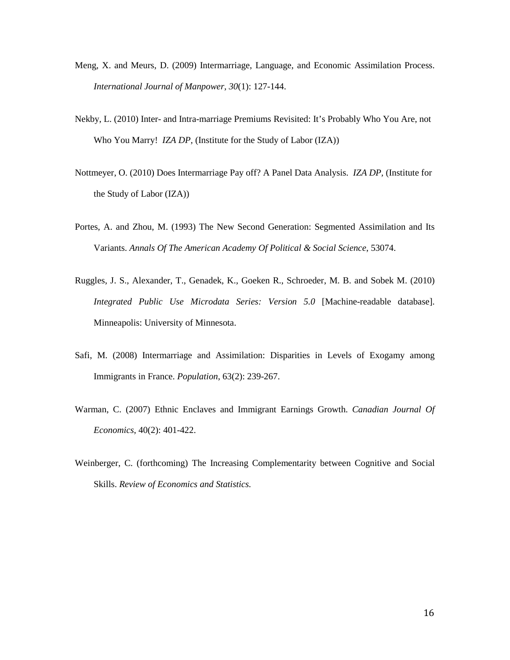- Meng, X. and Meurs, D. (2009) Intermarriage, Language, and Economic Assimilation Process. *International Journal of Manpower, 30*(1): 127-144.
- Nekby, L. (2010) Inter- and Intra-marriage Premiums Revisited: It's Probably Who You Are, not Who You Marry! *IZA DP,* (Institute for the Study of Labor (IZA))
- Nottmeyer, O. (2010) Does Intermarriage Pay off? A Panel Data Analysis. *IZA DP,* (Institute for the Study of Labor (IZA))
- Portes, A. and Zhou, M. (1993) The New Second Generation: Segmented Assimilation and Its Variants. *Annals Of The American Academy Of Political & Social Science*, 53074.
- Ruggles, J. S., Alexander, T., Genadek, K., Goeken R., Schroeder, M. B. and Sobek M. (2010) *Integrated Public Use Microdata Series: Version 5.0* [Machine-readable database]. Minneapolis: University of Minnesota.
- Safi, M. (2008) Intermarriage and Assimilation: Disparities in Levels of Exogamy among Immigrants in France. *Population*, 63(2): 239-267.
- Warman, C. (2007) Ethnic Enclaves and Immigrant Earnings Growth. *Canadian Journal Of Economics*, 40(2): 401-422.
- Weinberger, C. (forthcoming) The Increasing Complementarity between Cognitive and Social Skills. *Review of Economics and Statistics.*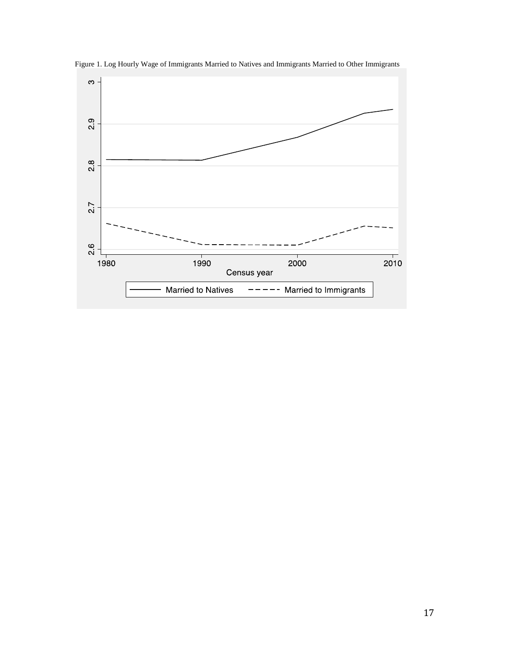

Figure 1. Log Hourly Wage of Immigrants Married to Natives and Immigrants Married to Other Immigrants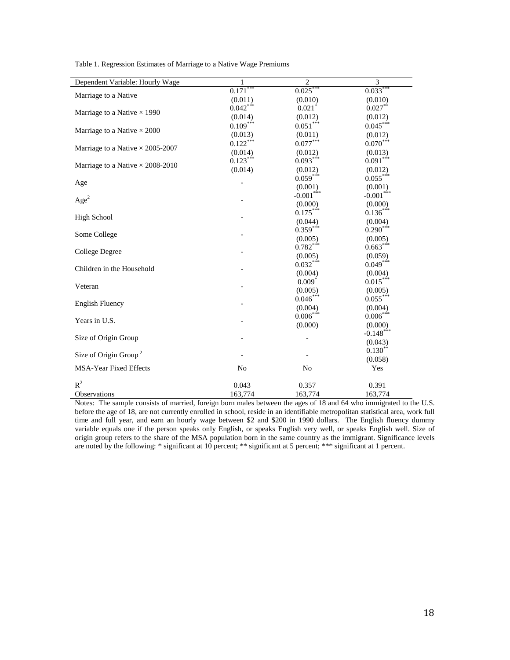| Dependent Variable: Hourly Wage         | 1              | $\overline{2}$          | 3                       |
|-----------------------------------------|----------------|-------------------------|-------------------------|
|                                         | $0.171***$     | $0.025***$              | $0.033***$              |
| Marriage to a Native                    | (0.011)        | (0.010)                 | (0.010)                 |
|                                         | $0.042***$     | $0.021$ <sup>*</sup>    | $0.027***$              |
| Marriage to a Native $\times$ 1990      | (0.014)        | (0.012)                 | (0.012)                 |
|                                         | $0.109***$     | $0.051^{\ast\ast\ast}$  | $0.045***$              |
| Marriage to a Native $\times\,2000$     | (0.013)        | (0.011)                 | (0.012)                 |
|                                         | $0.122***$     | $0.077***$              | $0.070***$              |
| Marriage to a Native $\times$ 2005-2007 | (0.014)        | (0.012)                 | (0.013)                 |
|                                         | $0.123***$     | $0.093***$              | $0.091***$              |
| Marriage to a Native $\times$ 2008-2010 | (0.014)        | (0.012)                 | (0.012)                 |
|                                         |                | $0.059***$              | $0.055***$              |
| Age                                     |                | (0.001)                 | (0.001)                 |
|                                         |                | $-0.001$ <sup>***</sup> | $-0.001$ <sup>***</sup> |
| Age <sup>2</sup>                        |                | (0.000)                 | (0.000)                 |
|                                         |                | $0.175***$              | $0.136***$              |
| <b>High School</b>                      |                | (0.044)                 | (0.004)                 |
|                                         |                | $0.359***$              | $0.290***$              |
| Some College                            |                | (0.005)                 | (0.005)                 |
|                                         |                | $0.782***$              | $0.663***$              |
| College Degree                          |                | (0.005)                 | (0.059)                 |
| Children in the Household               |                | $0.032***$              | $0.049***$              |
|                                         |                | (0.004)                 | (0.004)                 |
| Veteran                                 |                | $0.009*$                | $0.015***$              |
|                                         |                | (0.005)                 | (0.005)                 |
| <b>English Fluency</b>                  |                | $0.046***$              | $0.055***$              |
|                                         |                | (0.004)                 | (0.004)                 |
| Years in U.S.                           |                | $0.006***$              | $0.006***$              |
|                                         |                | (0.000)                 | (0.000)                 |
| Size of Origin Group                    |                |                         | $-0.148$ ***            |
|                                         |                |                         | (0.043)                 |
| Size of Origin Group <sup>2</sup>       |                |                         | $0.130**$               |
|                                         |                |                         | (0.058)                 |
| <b>MSA-Year Fixed Effects</b>           | N <sub>0</sub> | N <sub>o</sub>          | Yes                     |
| $R^2$                                   | 0.043          | 0.357                   | 0.391                   |
| <b>Observations</b>                     | 163,774        | 163,774                 | 163,774                 |

Table 1. Regression Estimates of Marriage to a Native Wage Premiums

Notes: The sample consists of married, foreign born males between the ages of 18 and 64 who immigrated to the U.S. before the age of 18, are not currently enrolled in school, reside in an identifiable metropolitan statistical area, work full time and full year, and earn an hourly wage between \$2 and \$200 in 1990 dollars. The English fluency dummy variable equals one if the person speaks only English, or speaks English very well, or speaks English well. Size of origin group refers to the share of the MSA population born in the same country as the immigrant. Significance levels are noted by the following: \* significant at 10 percent; \*\* significant at 5 percent; \*\*\* significant at 1 percent.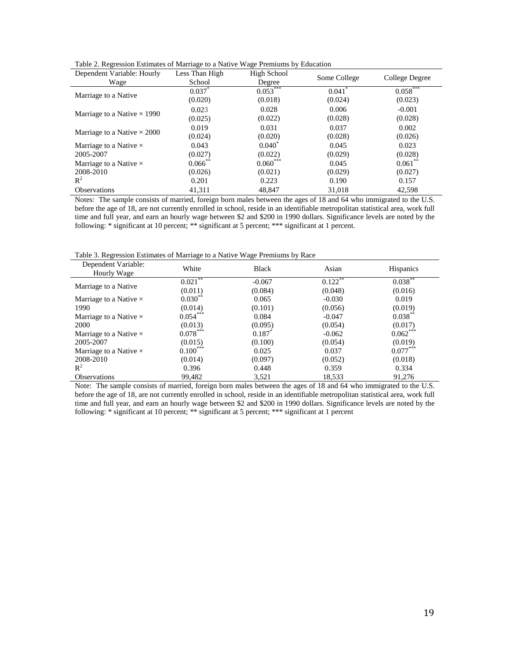| Dependent Variable: Hourly         | Less Than High | High School            |                      |                |  |
|------------------------------------|----------------|------------------------|----------------------|----------------|--|
| Wage                               | School         | Some College<br>Degree |                      | College Degree |  |
| Marriage to a Native               | $0.037^*$      | $0.053***$             | $0.041$ <sup>*</sup> | $0.058***$     |  |
|                                    | (0.020)        | (0.018)                | (0.024)              | (0.023)        |  |
| Marriage to a Native $\times$ 1990 | 0.023          | 0.028                  | 0.006                | $-0.001$       |  |
|                                    | (0.025)        | (0.022)                | (0.028)              | (0.028)        |  |
| Marriage to a Native $\times 2000$ | 0.019          | 0.031                  | 0.037                | 0.002          |  |
|                                    | (0.024)        | (0.020)                | (0.028)              | (0.026)        |  |
| Marriage to a Native $\times$      | 0.043          | $0.040^*$              | 0.045                | 0.023          |  |
| 2005-2007                          | (0.027)        | (0.022)                | (0.029)              | (0.028)        |  |
| Marriage to a Native $\times$      | $0.066$ **     | $0.060***$             | 0.045                | $0.061***$     |  |
| 2008-2010                          | (0.026)        | (0.021)                | (0.029)              | (0.027)        |  |
| $R^2$                              | 0.201          | 0.223                  | 0.190                | 0.157          |  |
| <b>Observations</b>                | 41,311         | 48,847                 | 31,018               | 42,598         |  |

Notes: The sample consists of married, foreign born males between the ages of 18 and 64 who immigrated to the U.S. before the age of 18, are not currently enrolled in school, reside in an identifiable metropolitan statistical area, work full time and full year, and earn an hourly wage between \$2 and \$200 in 1990 dollars. Significance levels are noted by the following: \* significant at 10 percent; \*\* significant at 5 percent; \*\*\* significant at 1 percent.

Table 3. Regression Estimates of Marriage to a Native Wage Premiums by Race

| Dependent Variable:<br>Hourly Wage | White      | <b>Black</b> | Asian      | <b>Hispanics</b> |
|------------------------------------|------------|--------------|------------|------------------|
|                                    | $0.021***$ | $-0.067$     | $0.122***$ | $0.038***$       |
| Marriage to a Native               | (0.011)    | (0.084)      | (0.048)    | (0.016)          |
| Marriage to a Native $\times$      | $0.030**$  | 0.065        | $-0.030$   | 0.019            |
| 1990                               | (0.014)    | (0.101)      | (0.056)    | (0.019)          |
| Marriage to a Native $\times$      | $0.054***$ | 0.084        | $-0.047$   | $0.038***$       |
| 2000                               | (0.013)    | (0.095)      | (0.054)    | (0.017)          |
| Marriage to a Native $\times$      | $0.078***$ | $0.187^{*}$  | $-0.062$   | $0.062***$       |
| 2005-2007                          | (0.015)    | (0.100)      | (0.054)    | (0.019)          |
| Marriage to a Native $\times$      | $0.100***$ | 0.025        | 0.037      | $0.077***$       |
| 2008-2010                          | (0.014)    | (0.097)      | (0.052)    | (0.018)          |
| $\mathbb{R}^2$                     | 0.396      | 0.448        | 0.359      | 0.334            |
| <b>Observations</b>                | 99.482     | 3.521        | 18.533     | 91.276           |

Note: The sample consists of married, foreign born males between the ages of 18 and 64 who immigrated to the U.S. before the age of 18, are not currently enrolled in school, reside in an identifiable metropolitan statistical area, work full time and full year, and earn an hourly wage between \$2 and \$200 in 1990 dollars. Significance levels are noted by the following: \* significant at 10 percent; \*\* significant at 5 percent; \*\*\* significant at 1 percent